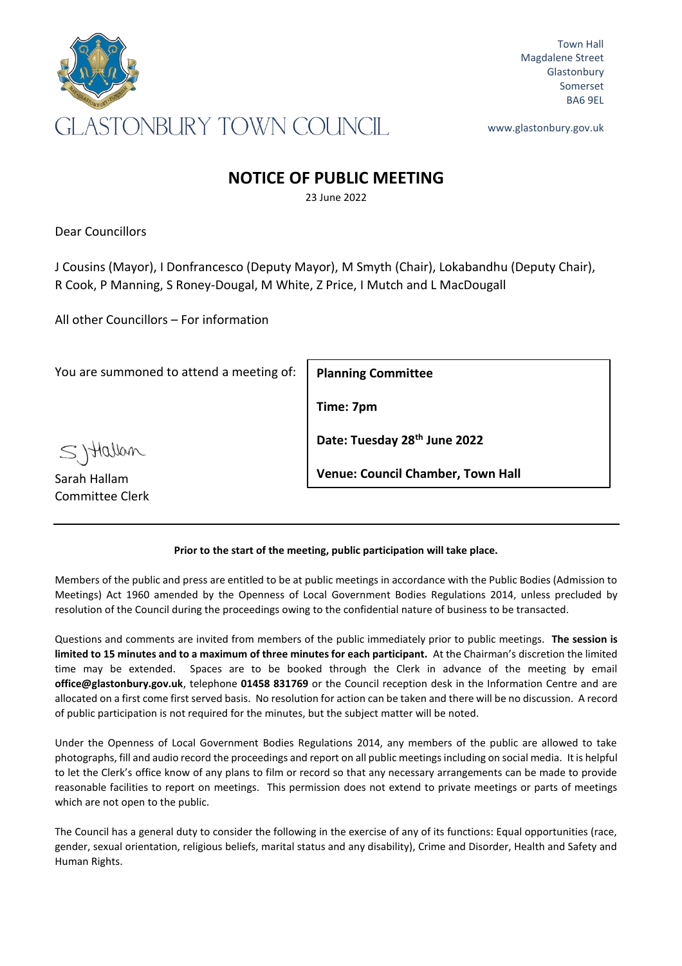

Town Hall Magdalene Street **Glastonbury** Somerset BA6 9EL

www.glastonbury.gov.uk

# **NOTICE OF PUBLIC MEETING**

23 June 2022

Dear Councillors

J Cousins (Mayor), I Donfrancesco (Deputy Mayor), M Smyth (Chair), Lokabandhu (Deputy Chair), R Cook, P Manning, S Roney-Dougal, M White, Z Price, I Mutch and L MacDougall

All other Councillors – For information

You are summoned to attend a meeting of:

**Planning Committee**

**Time: 7pm**

**Date: Tuesday 28th June 2022**

**Venue: Council Chamber, Town Hall**

## **Prior to the start of the meeting, public participation will take place.**

Members of the public and press are entitled to be at public meetings in accordance with the Public Bodies (Admission to Meetings) Act 1960 amended by the Openness of Local Government Bodies Regulations 2014, unless precluded by resolution of the Council during the proceedings owing to the confidential nature of business to be transacted.

Questions and comments are invited from members of the public immediately prior to public meetings. **The session is limited to 15 minutes and to a maximum of three minutes for each participant.** At the Chairman's discretion the limited time may be extended. Spaces are to be booked through the Clerk in advance of the meeting by email **office@glastonbury.gov.uk**, telephone **01458 831769** or the Council reception desk in the Information Centre and are allocated on a first come first served basis. No resolution for action can be taken and there will be no discussion. A record of public participation is not required for the minutes, but the subject matter will be noted.

Under the Openness of Local Government Bodies Regulations 2014, any members of the public are allowed to take photographs, fill and audio record the proceedings and report on all public meetings including on social media. It is helpful to let the Clerk's office know of any plans to film or record so that any necessary arrangements can be made to provide reasonable facilities to report on meetings. This permission does not extend to private meetings or parts of meetings which are not open to the public.

The Council has a general duty to consider the following in the exercise of any of its functions: Equal opportunities (race, gender, sexual orientation, religious beliefs, marital status and any disability), Crime and Disorder, Health and Safety and Human Rights.

Syttallan

Sarah Hallam Committee Clerk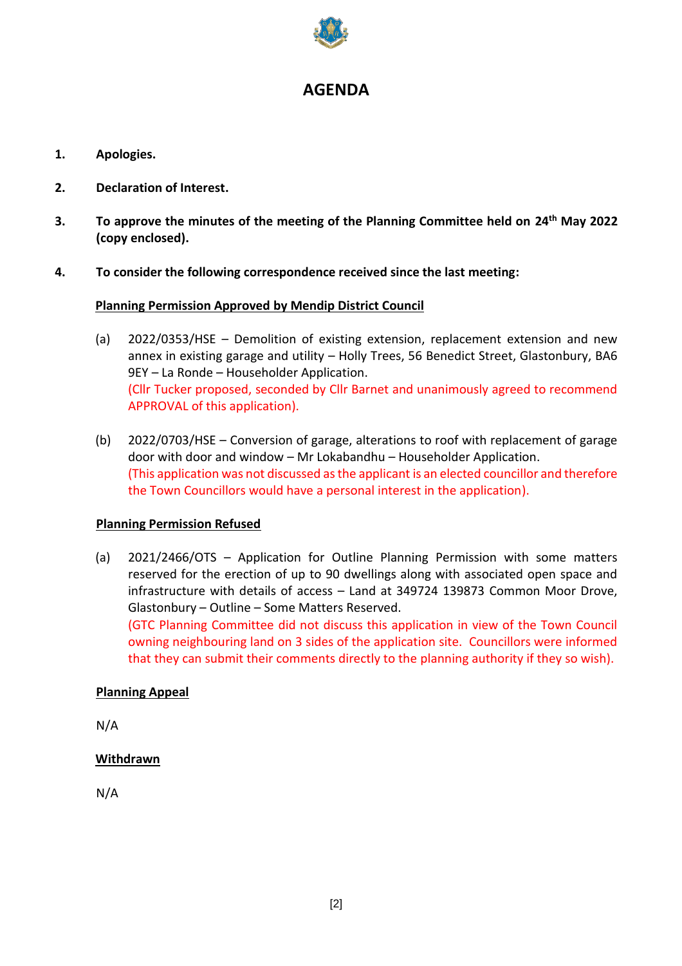

# **AGENDA**

- **1. Apologies.**
- **2. Declaration of Interest.**
- **3. To approve the minutes of the meeting of the Planning Committee held on 24th May 2022 (copy enclosed).**
- **4. To consider the following correspondence received since the last meeting:**

#### **Planning Permission Approved by Mendip District Council**

- (a) 2022/0353/HSE Demolition of existing extension, replacement extension and new annex in existing garage and utility – Holly Trees, 56 Benedict Street, Glastonbury, BA6 9EY – La Ronde – Householder Application. (Cllr Tucker proposed, seconded by Cllr Barnet and unanimously agreed to recommend APPROVAL of this application).
- (b) 2022/0703/HSE Conversion of garage, alterations to roof with replacement of garage door with door and window – Mr Lokabandhu – Householder Application. (This application was not discussed as the applicant is an elected councillor and therefore the Town Councillors would have a personal interest in the application).

## **Planning Permission Refused**

(a) 2021/2466/OTS – Application for Outline Planning Permission with some matters reserved for the erection of up to 90 dwellings along with associated open space and infrastructure with details of access – Land at 349724 139873 Common Moor Drove, Glastonbury – Outline – Some Matters Reserved. (GTC Planning Committee did not discuss this application in view of the Town Council

owning neighbouring land on 3 sides of the application site. Councillors were informed that they can submit their comments directly to the planning authority if they so wish).

#### **Planning Appeal**

N/A

## **Withdrawn**

N/A